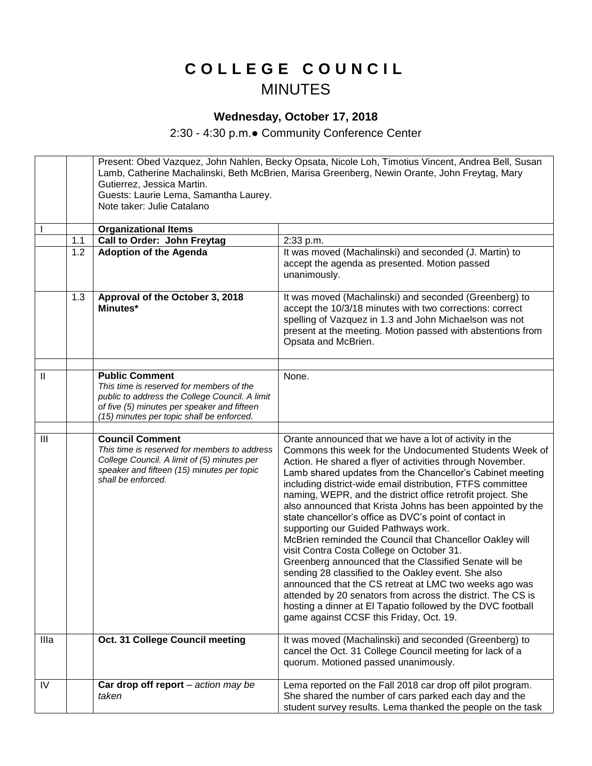## **C O L L E G E C O U N C I L** MINUTES

## **Wednesday, October 17, 2018**

2:30 - 4:30 p.m.● Community Conference Center

|              |     | Present: Obed Vazquez, John Nahlen, Becky Opsata, Nicole Loh, Timotius Vincent, Andrea Bell, Susan<br>Lamb, Catherine Machalinski, Beth McBrien, Marisa Greenberg, Newin Orante, John Freytag, Mary<br>Gutierrez, Jessica Martin.<br>Guests: Laurie Lema, Samantha Laurey.<br>Note taker: Julie Catalano |                                                                                                                                                                                                                                                                                                                                                                                                                                                                                                                                                                                                                                                                                                                                                                                                                                                                                                                                                                                                       |
|--------------|-----|----------------------------------------------------------------------------------------------------------------------------------------------------------------------------------------------------------------------------------------------------------------------------------------------------------|-------------------------------------------------------------------------------------------------------------------------------------------------------------------------------------------------------------------------------------------------------------------------------------------------------------------------------------------------------------------------------------------------------------------------------------------------------------------------------------------------------------------------------------------------------------------------------------------------------------------------------------------------------------------------------------------------------------------------------------------------------------------------------------------------------------------------------------------------------------------------------------------------------------------------------------------------------------------------------------------------------|
|              |     | <b>Organizational Items</b>                                                                                                                                                                                                                                                                              |                                                                                                                                                                                                                                                                                                                                                                                                                                                                                                                                                                                                                                                                                                                                                                                                                                                                                                                                                                                                       |
|              | 1.1 | Call to Order: John Freytag                                                                                                                                                                                                                                                                              | 2:33 p.m.                                                                                                                                                                                                                                                                                                                                                                                                                                                                                                                                                                                                                                                                                                                                                                                                                                                                                                                                                                                             |
|              | 1.2 | <b>Adoption of the Agenda</b>                                                                                                                                                                                                                                                                            | It was moved (Machalinski) and seconded (J. Martin) to<br>accept the agenda as presented. Motion passed<br>unanimously.                                                                                                                                                                                                                                                                                                                                                                                                                                                                                                                                                                                                                                                                                                                                                                                                                                                                               |
|              | 1.3 | Approval of the October 3, 2018<br>Minutes*                                                                                                                                                                                                                                                              | It was moved (Machalinski) and seconded (Greenberg) to<br>accept the 10/3/18 minutes with two corrections: correct<br>spelling of Vazquez in 1.3 and John Michaelson was not<br>present at the meeting. Motion passed with abstentions from<br>Opsata and McBrien.                                                                                                                                                                                                                                                                                                                                                                                                                                                                                                                                                                                                                                                                                                                                    |
| $\mathbf{I}$ |     | <b>Public Comment</b><br>This time is reserved for members of the<br>public to address the College Council. A limit<br>of five (5) minutes per speaker and fifteen<br>(15) minutes per topic shall be enforced.                                                                                          | None.                                                                                                                                                                                                                                                                                                                                                                                                                                                                                                                                                                                                                                                                                                                                                                                                                                                                                                                                                                                                 |
| III          |     | <b>Council Comment</b><br>This time is reserved for members to address<br>College Council. A limit of (5) minutes per<br>speaker and fifteen (15) minutes per topic<br>shall be enforced.                                                                                                                | Orante announced that we have a lot of activity in the<br>Commons this week for the Undocumented Students Week of<br>Action. He shared a flyer of activities through November.<br>Lamb shared updates from the Chancellor's Cabinet meeting<br>including district-wide email distribution, FTFS committee<br>naming, WEPR, and the district office retrofit project. She<br>also announced that Krista Johns has been appointed by the<br>state chancellor's office as DVC's point of contact in<br>supporting our Guided Pathways work.<br>McBrien reminded the Council that Chancellor Oakley will<br>visit Contra Costa College on October 31.<br>Greenberg announced that the Classified Senate will be<br>sending 28 classified to the Oakley event. She also<br>announced that the CS retreat at LMC two weeks ago was<br>attended by 20 senators from across the district. The CS is<br>hosting a dinner at El Tapatio followed by the DVC football<br>game against CCSF this Friday, Oct. 19. |
| Illa         |     | Oct. 31 College Council meeting                                                                                                                                                                                                                                                                          | It was moved (Machalinski) and seconded (Greenberg) to<br>cancel the Oct. 31 College Council meeting for lack of a<br>quorum. Motioned passed unanimously.                                                                                                                                                                                                                                                                                                                                                                                                                                                                                                                                                                                                                                                                                                                                                                                                                                            |
| IV           |     | Car drop off report $-$ action may be<br>taken                                                                                                                                                                                                                                                           | Lema reported on the Fall 2018 car drop off pilot program.<br>She shared the number of cars parked each day and the<br>student survey results. Lema thanked the people on the task                                                                                                                                                                                                                                                                                                                                                                                                                                                                                                                                                                                                                                                                                                                                                                                                                    |